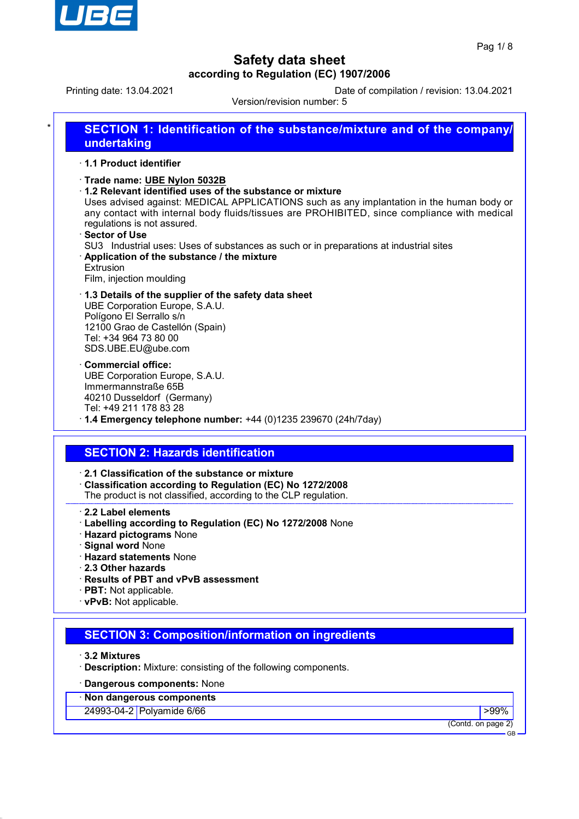

Printing date: 13.04.2021 Date of compilation / revision: 13.04.2021

Version/revision number: 5

| 1.1 Product identifier                                                                                                                       |                                                                                                                                                                                                                                                                                                                                                                                               |
|----------------------------------------------------------------------------------------------------------------------------------------------|-----------------------------------------------------------------------------------------------------------------------------------------------------------------------------------------------------------------------------------------------------------------------------------------------------------------------------------------------------------------------------------------------|
| Trade name: UBE Nylon 5032B<br>regulations is not assured.<br>· Sector of Use<br>Extrusion<br>Film, injection moulding                       | 1.2 Relevant identified uses of the substance or mixture<br>Uses advised against: MEDICAL APPLICATIONS such as any implantation in the human body or<br>any contact with internal body fluids/tissues are PROHIBITED, since compliance with medical<br>SU3 Industrial uses: Uses of substances as such or in preparations at industrial sites<br>· Application of the substance / the mixture |
| UBE Corporation Europe, S.A.U.<br>Polígono El Serrallo s/n<br>12100 Grao de Castellón (Spain)<br>Tel: +34 964 73 80 00<br>SDS.UBE.EU@ube.com | 1.3 Details of the supplier of the safety data sheet                                                                                                                                                                                                                                                                                                                                          |
| Commercial office:<br>UBE Corporation Europe, S.A.U.<br>Immermannstraße 65B<br>40210 Dusseldorf (Germany)<br>Tel: +49 211 178 83 28          | $\cdot$ 1.4 Emergency telephone number: +44 (0)1235 239670 (24h/7day)                                                                                                                                                                                                                                                                                                                         |
|                                                                                                                                              |                                                                                                                                                                                                                                                                                                                                                                                               |
|                                                                                                                                              | <b>SECTION 2: Hazards identification</b>                                                                                                                                                                                                                                                                                                                                                      |

- · **Labelling according to Regulation (EC) No 1272/2008** None
- · **Hazard pictograms** None
- · **Signal word** None
- · **Hazard statements** None
- · **2.3 Other hazards**
- · **Results of PBT and vPvB assessment**
- · **PBT:** Not applicable.
- · **vPvB:** Not applicable.

# **SECTION 3: Composition/information on ingredients**

· **3.2 Mixtures**

· **Description:** Mixture: consisting of the following components.

### · **Dangerous components:** None

· **Non dangerous components**

24993-04-2 Polyamide 6/66 **Provide 1999 Provide 1999 Provide 1999 Provide 1999 Provide 1999 Provide 1999 Provide 1999 Provide 1999 Provide 1999 Provide 1999 Provide 1999 Provide 1999 Provide 1999**

(Contd. on page 2) GB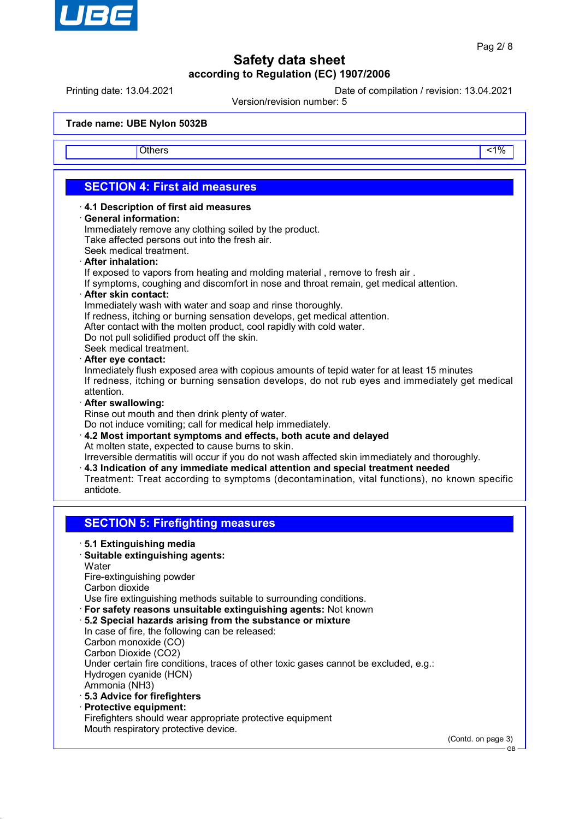

Printing date: 13.04.2021 Date of compilation / revision: 13.04.2021

Version/revision number: 5

**Trade name: UBE Nylon 5032B**

Others and the contract of the contract of the contract of the contract of the contract of the contract of the contract of the contract of the contract of the contract of the contract of the contract of the contract of the

## **SECTION 4: First aid measures**

- · **4.1 Description of first aid measures**
- · **General information:**

Immediately remove any clothing soiled by the product. Take affected persons out into the fresh air.

- Seek medical treatment.
- · **After inhalation:**

If exposed to vapors from heating and molding material , remove to fresh air .

If symptoms, coughing and discomfort in nose and throat remain, get medical attention.

· **After skin contact:**

Immediately wash with water and soap and rinse thoroughly.

If redness, itching or burning sensation develops, get medical attention.

After contact with the molten product, cool rapidly with cold water.

Do not pull solidified product off the skin.

Seek medical treatment.

#### · **After eye contact:**

Inmediately flush exposed area with copious amounts of tepid water for at least 15 minutes If redness, itching or burning sensation develops, do not rub eyes and immediately get medical attention.

#### · **After swallowing:**

Rinse out mouth and then drink plenty of water.

Do not induce vomiting; call for medical help immediately.

· **4.2 Most important symptoms and effects, both acute and delayed** At molten state, expected to cause burns to skin.

Irreversible dermatitis will occur if you do not wash affected skin immediately and thoroughly.

- · **4.3 Indication of any immediate medical attention and special treatment needed**
- Treatment: Treat according to symptoms (decontamination, vital functions), no known specific antidote.

### **SECTION 5: Firefighting measures**

- · **5.1 Extinguishing media**
- · **Suitable extinguishing agents: Water**

Fire-extinguishing powder Carbon dioxide

Use fire extinguishing methods suitable to surrounding conditions.

- · **For safety reasons unsuitable extinguishing agents:** Not known
- · **5.2 Special hazards arising from the substance or mixture** In case of fire, the following can be released: Carbon monoxide (CO) Carbon Dioxide (CO2) Under certain fire conditions, traces of other toxic gases cannot be excluded, e.g.: Hydrogen cyanide (HCN) Ammonia (NH3)
- · **5.3 Advice for firefighters**
- · **Protective equipment:**

Firefighters should wear appropriate protective equipment Mouth respiratory protective device.

(Contd. on page 3)

GB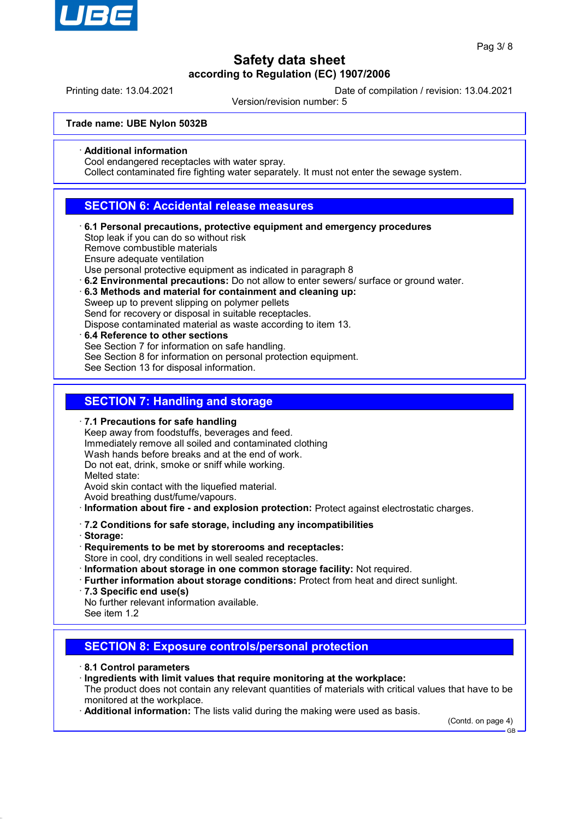

Printing date: 13.04.2021 Date of compilation / revision: 13.04.2021

Version/revision number: 5

**Trade name: UBE Nylon 5032B**

· **Additional information**

Cool endangered receptacles with water spray.

Collect contaminated fire fighting water separately. It must not enter the sewage system.

### **SECTION 6: Accidental release measures**

· **6.1 Personal precautions, protective equipment and emergency procedures** Stop leak if you can do so without risk

Remove combustible materials

Ensure adequate ventilation

Use personal protective equipment as indicated in paragraph 8

- · **6.2 Environmental precautions:** Do not allow to enter sewers/ surface or ground water.
- · **6.3 Methods and material for containment and cleaning up:** Sweep up to prevent slipping on polymer pellets Send for recovery or disposal in suitable receptacles.
- Dispose contaminated material as waste according to item 13. · **6.4 Reference to other sections**
- See Section 7 for information on safe handling. See Section 8 for information on personal protection equipment. See Section 13 for disposal information.

### **SECTION 7: Handling and storage**

· **7.1 Precautions for safe handling**

Keep away from foodstuffs, beverages and feed. Immediately remove all soiled and contaminated clothing Wash hands before breaks and at the end of work. Do not eat, drink, smoke or sniff while working. Melted state: Avoid skin contact with the liquefied material. Avoid breathing dust/fume/vapours. · **Information about fire - and explosion protection:** Protect against electrostatic charges.

- · **7.2 Conditions for safe storage, including any incompatibilities**
- · **Storage:**
- · **Requirements to be met by storerooms and receptacles:** Store in cool, dry conditions in well sealed receptacles.
- · **Information about storage in one common storage facility:** Not required.
- · **Further information about storage conditions:** Protect from heat and direct sunlight.
- · **7.3 Specific end use(s)**

No further relevant information available. See item 1.2

### **SECTION 8: Exposure controls/personal protection**

#### · **8.1 Control parameters**

· **Ingredients with limit values that require monitoring at the workplace:** The product does not contain any relevant quantities of materials with critical values that have to be monitored at the workplace.

· **Additional information:** The lists valid during the making were used as basis.

(Contd. on page 4)

GB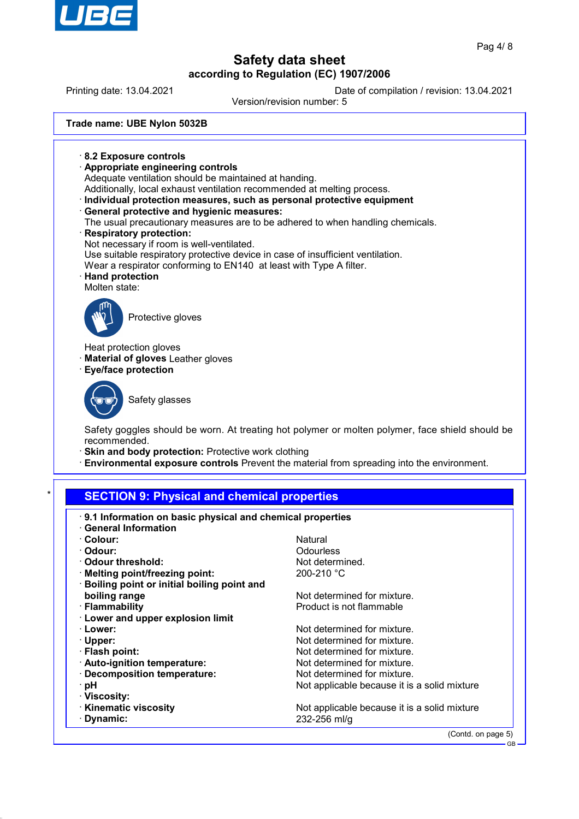

Printing date: 13.04.2021 Date of compilation / revision: 13.04.2021 Version/revision number: 5 **Trade name: UBE Nylon 5032B** · **8.2 Exposure controls** · **Appropriate engineering controls** Adequate ventilation should be maintained at handing. Additionally, local exhaust ventilation recommended at melting process. · **Individual protection measures, such as personal protective equipment** · **General protective and hygienic measures:** The usual precautionary measures are to be adhered to when handling chemicals. · **Respiratory protection:** Not necessary if room is well-ventilated. Use suitable respiratory protective device in case of insufficient ventilation. Wear a respirator conforming to EN140 at least with Type A filter. · **Hand protection** Molten state: Protective gloves Heat protection gloves · **Material of gloves** Leather gloves · **Eye/face protection** Safety glasses Safety goggles should be worn. At treating hot polymer or molten polymer, face shield should be recommended. · **Skin and body protection:** Protective work clothing · **Environmental exposure controls** Prevent the material from spreading into the environment. **SECTION 9: Physical and chemical properties** · **9.1 Information on basic physical and chemical properties** · **General Information** · **Colour:** Natural · **Odour:** Odourless  $\cdot$  Odour threshold: **Melting point/freezing point:** 200-210 °C · **Boiling point or initial boiling point and**

**boiling range** Not determined for mixture.

- 
- · **Lower and upper explosion limit**
- 
- 
- 
- 
- 
- 
- · **Viscosity:**
- 
- 

· **Flammability Product is not flammable** 

**Lower:** Not determined for mixture. · **Upper:** Not determined for mixture. · **Flash point:** Not determined for mixture. · **Auto-ignition temperature:** Not determined for mixture. · **Decomposition temperature:** Not determined for mixture.<br>· **pH** Not applicable because it is Not applicable because it is a solid mixture

· **Kinematic viscosity**<br> **• Dynamic: Dynamic:** 232-256 ml/q · **Dynamic:** 232-256 ml/g

(Contd. on page 5)

 $\overline{P}$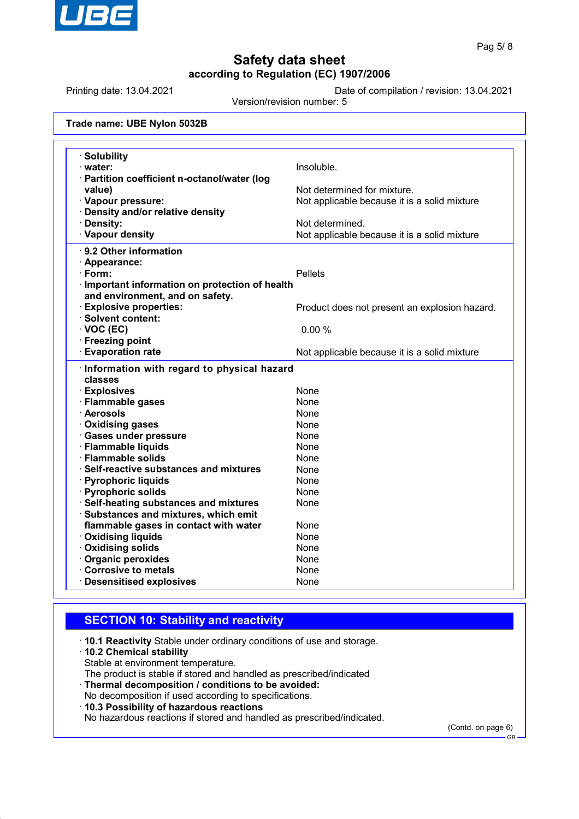

Printing date: 13.04.2021 Date of compilation / revision: 13.04.2021

Version/revision number: 5

| <b>Solubility</b><br>· water:                   | Insoluble.                                    |
|-------------------------------------------------|-----------------------------------------------|
| · Partition coefficient n-octanol/water (log    |                                               |
| value)                                          | Not determined for mixture.                   |
| · Vapour pressure:                              | Not applicable because it is a solid mixture  |
| Density and/or relative density                 |                                               |
| · Density:                                      | Not determined.                               |
| · Vapour density                                | Not applicable because it is a solid mixture  |
| · 9.2 Other information                         |                                               |
| $\cdot$ Appearance:                             |                                               |
| · Form:                                         | <b>Pellets</b>                                |
| · Important information on protection of health |                                               |
| and environment, and on safety.                 |                                               |
| <b>Explosive properties:</b>                    | Product does not present an explosion hazard. |
| · Solvent content:                              |                                               |
| $\cdot$ VOC (EC)                                | 0.00%                                         |
| · Freezing point                                |                                               |
| <b>Evaporation rate</b>                         | Not applicable because it is a solid mixture  |
| · Information with regard to physical hazard    |                                               |
| classes                                         |                                               |
| <b>Explosives</b>                               | None                                          |
| · Flammable gases                               | None                                          |
| · Aerosols                                      | <b>None</b>                                   |
| · Oxidising gases                               | None                                          |
| · Gases under pressure                          | None                                          |
| · Flammable liquids                             | None                                          |
| · Flammable solids                              | None                                          |
| · Self-reactive substances and mixtures         | None                                          |
| · Pyrophoric liquids                            | None                                          |
| · Pyrophoric solids                             | None                                          |
| · Self-heating substances and mixtures          | None                                          |
| · Substances and mixtures, which emit           |                                               |
| flammable gases in contact with water           | None                                          |
| · Oxidising liquids                             | None                                          |
| <b>Oxidising solids</b>                         | None                                          |
| · Organic peroxides                             | None                                          |
| Corrosive to metals                             | None                                          |

## **SECTION 10: Stability and reactivity**

· **10.1 Reactivity** Stable under ordinary conditions of use and storage.

#### · **10.2 Chemical stability**

Stable at environment temperature.

The product is stable if stored and handled as prescribed/indicated

· **Thermal decomposition / conditions to be avoided:** No decomposition if used according to specifications.

· **10.3 Possibility of hazardous reactions**

No hazardous reactions if stored and handled as prescribed/indicated.

(Contd. on page 6)

GB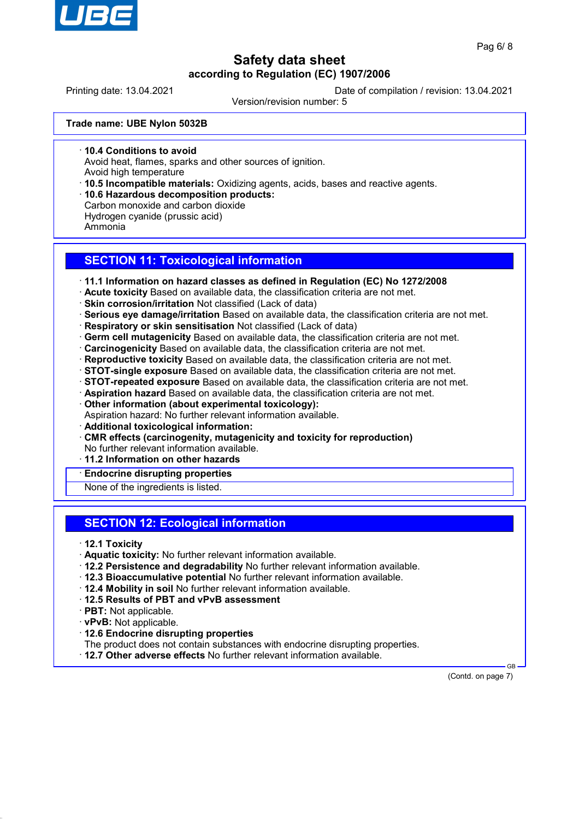

Printing date: 13.04.2021 Date of compilation / revision: 13.04.2021

Version/revision number: 5

**Trade name: UBE Nylon 5032B**

· **10.4 Conditions to avoid**

Avoid heat, flames, sparks and other sources of ignition.

Avoid high temperature

· **10.5 Incompatible materials:** Oxidizing agents, acids, bases and reactive agents.

· **10.6 Hazardous decomposition products:**

Carbon monoxide and carbon dioxide

Hydrogen cyanide (prussic acid)

Ammonia

### **SECTION 11: Toxicological information**

· **11.1 Information on hazard classes as defined in Regulation (EC) No 1272/2008**

· **Acute toxicity** Based on available data, the classification criteria are not met.

· **Skin corrosion/irritation** Not classified (Lack of data)

· **Serious eye damage/irritation** Based on available data, the classification criteria are not met.

· **Respiratory or skin sensitisation** Not classified (Lack of data)

- · **Germ cell mutagenicity** Based on available data, the classification criteria are not met.
- · **Carcinogenicity** Based on available data, the classification criteria are not met.

· **Reproductive toxicity** Based on available data, the classification criteria are not met.

· **STOT-single exposure** Based on available data, the classification criteria are not met.

· **STOT-repeated exposure** Based on available data, the classification criteria are not met.

· **Aspiration hazard** Based on available data, the classification criteria are not met.

· **Other information (about experimental toxicology):**

Aspiration hazard: No further relevant information available.

- · **Additional toxicological information:**
- · **CMR effects (carcinogenity, mutagenicity and toxicity for reproduction)**

No further relevant information available.

· **11.2 Information on other hazards**

## · **Endocrine disrupting properties**

None of the ingredients is listed.

### **SECTION 12: Ecological information**

- · **12.1 Toxicity**
- · **Aquatic toxicity:** No further relevant information available.
- · **12.2 Persistence and degradability** No further relevant information available.
- · **12.3 Bioaccumulative potential** No further relevant information available.
- · **12.4 Mobility in soil** No further relevant information available.
- · **12.5 Results of PBT and vPvB assessment**
- · **PBT:** Not applicable.
- · **vPvB:** Not applicable.
- · **12.6 Endocrine disrupting properties**

The product does not contain substances with endocrine disrupting properties.

· **12.7 Other adverse effects** No further relevant information available.

 GB (Contd. on page 7)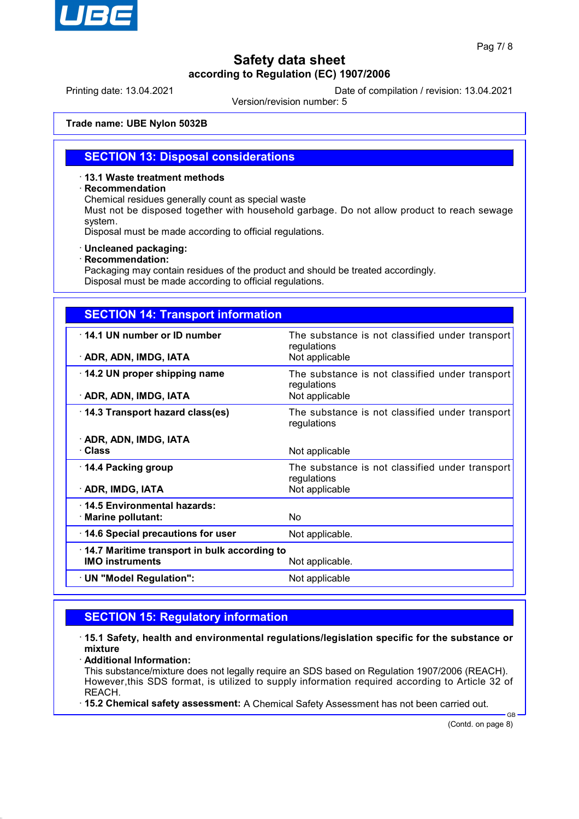

Printing date: 13.04.2021 Date of compilation / revision: 13.04.2021

Version/revision number: 5

**Trade name: UBE Nylon 5032B**

### **SECTION 13: Disposal considerations**

#### · **13.1 Waste treatment methods**

#### · **Recommendation**

Chemical residues generally count as special waste

Must not be disposed together with household garbage. Do not allow product to reach sewage system.

Disposal must be made according to official regulations.

#### · **Uncleaned packaging:**

#### · **Recommendation:**

Packaging may contain residues of the product and should be treated accordingly. Disposal must be made according to official regulations.

| <b>SECTION 14: Transport information</b>                               |                                                                                  |
|------------------------------------------------------------------------|----------------------------------------------------------------------------------|
| 14.1 UN number or ID number<br>· ADR, ADN, IMDG, IATA                  | The substance is not classified under transport<br>regulations<br>Not applicable |
| 14.2 UN proper shipping name<br>· ADR, ADN, IMDG, IATA                 | The substance is not classified under transport<br>regulations<br>Not applicable |
| 14.3 Transport hazard class(es)                                        | The substance is not classified under transport<br>regulations                   |
| · ADR, ADN, IMDG, IATA<br>· Class                                      | Not applicable                                                                   |
| ⋅ 14.4 Packing group<br>· ADR, IMDG, IATA                              | The substance is not classified under transport<br>regulations<br>Not applicable |
| 14.5 Environmental hazards:<br>· Marine pollutant:                     | No                                                                               |
| 14.6 Special precautions for user                                      | Not applicable.                                                                  |
| 14.7 Maritime transport in bulk according to<br><b>IMO instruments</b> | Not applicable.                                                                  |
| · UN "Model Regulation":                                               | Not applicable                                                                   |

## **SECTION 15: Regulatory information**

· **15.1 Safety, health and environmental regulations/legislation specific for the substance or mixture**

· **Additional Information:**

This substance/mixture does not legally require an SDS based on Regulation 1907/2006 (REACH). However,this SDS format, is utilized to supply information required according to Article 32 of REACH.

· **15.2 Chemical safety assessment:** A Chemical Safety Assessment has not been carried out.

(Contd. on page 8)

GB